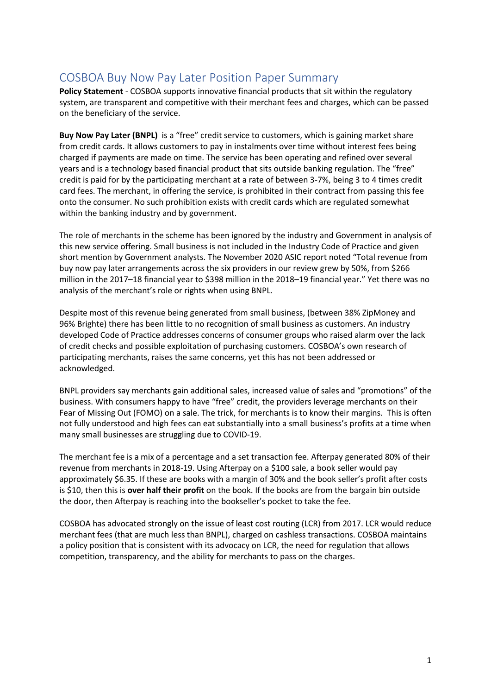## <span id="page-0-0"></span>COSBOA Buy Now Pay Later Position Paper Summary

**Policy Statement** - COSBOA supports innovative financial products that sit within the regulatory system, are transparent and competitive with their merchant fees and charges, which can be passed on the beneficiary of the service.

**Buy Now Pay Later (BNPL)** is a "free" credit service to customers, which is gaining market share from credit cards. It allows customers to pay in instalments over time without interest fees being charged if payments are made on time. The service has been operating and refined over several years and is a technology based financial product that sits outside banking regulation. The "free" credit is paid for by the participating merchant at a rate of between 3-7%, being 3 to 4 times credit card fees. The merchant, in offering the service, is prohibited in their contract from passing this fee onto the consumer. No such prohibition exists with credit cards which are regulated somewhat within the banking industry and by government.

The role of merchants in the scheme has been ignored by the industry and Government in analysis of this new service offering. Small business is not included in the Industry Code of Practice and given short mention by Government analysts. The November 2020 ASIC report noted "Total revenue from buy now pay later arrangements across the six providers in our review grew by 50%, from \$266 million in the 2017–18 financial year to \$398 million in the 2018–19 financial year." Yet there was no analysis of the merchant's role or rights when using BNPL.

Despite most of this revenue being generated from small business, (between 38% ZipMoney and 96% Brighte) there has been little to no recognition of small business as customers. An industry developed Code of Practice addresses concerns of consumer groups who raised alarm over the lack of credit checks and possible exploitation of purchasing customers. COSBOA's own research of participating merchants, raises the same concerns, yet this has not been addressed or acknowledged.

BNPL providers say merchants gain additional sales, increased value of sales and "promotions" of the business. With consumers happy to have "free" credit, the providers leverage merchants on their Fear of Missing Out (FOMO) on a sale. The trick, for merchants is to know their margins. This is often not fully understood and high fees can eat substantially into a small business's profits at a time when many small businesses are struggling due to COVID-19.

The merchant fee is a mix of a percentage and a set transaction fee. Afterpay generated 80% of their revenue from merchants in 2018-19. Using Afterpay on a \$100 sale, a book seller would pay approximately \$6.35. If these are books with a margin of 30% and the book seller's profit after costs is \$10, then this is **over half their profit** on the book. If the books are from the bargain bin outside the door, then Afterpay is reaching into the bookseller's pocket to take the fee.

COSBOA has advocated strongly on the issue of least cost routing (LCR) from 2017. LCR would reduce merchant fees (that are much less than BNPL), charged on cashless transactions. COSBOA maintains a policy position that is consistent with its advocacy on LCR, the need for regulation that allows competition, transparency, and the ability for merchants to pass on the charges.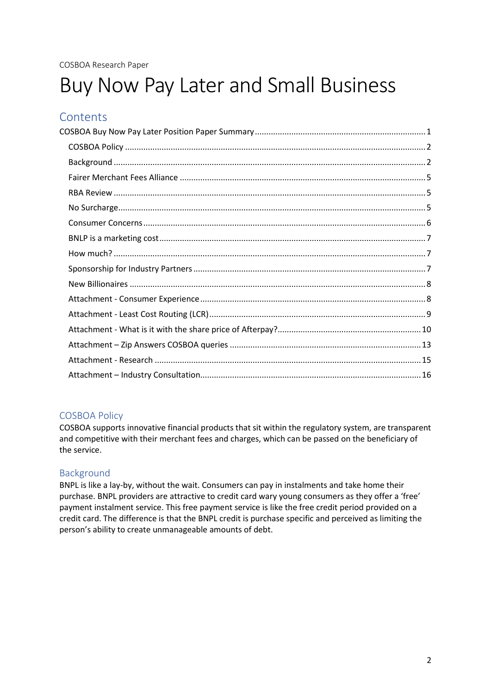# Buy Now Pay Later and Small Business

## **Contents**

## <span id="page-1-0"></span>COSBOA Policy

COSBOA supports innovative financial products that sit within the regulatory system, are transparent and competitive with their merchant fees and charges, which can be passed on the beneficiary of the service.

## <span id="page-1-1"></span>Background

BNPL is like a lay-by, without the wait. Consumers can pay in instalments and take home their purchase. BNPL providers are attractive to credit card wary young consumers as they offer a 'free' payment instalment service. This free payment service is like the free credit period provided on a credit card. The difference is that the BNPL credit is purchase specific and perceived as limiting the person's ability to create unmanageable amounts of debt.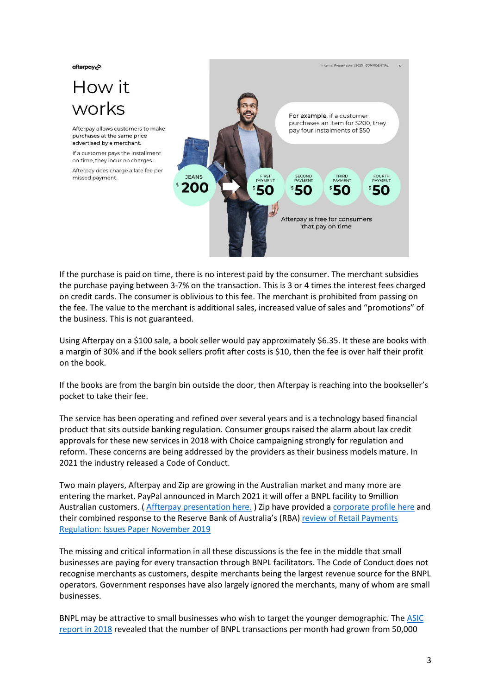afterpay<sub>c</sub>

## How it works

Afterpay allows customers to make purchases at the same price advertised by a merchant

If a customer pays the installment on time, they incur no charges.

Afterpay does charge a late fee per missed payment.



If the purchase is paid on time, there is no interest paid by the consumer. The merchant subsidies the purchase paying between 3-7% on the transaction. This is 3 or 4 times the interest fees charged on credit cards. The consumer is oblivious to this fee. The merchant is prohibited from passing on the fee. The value to the merchant is additional sales, increased value of sales and "promotions" of the business. This is not guaranteed.

Using Afterpay on a \$100 sale, a book seller would pay approximately \$6.35. It these are books with a margin of 30% and if the book sellers profit after costs is \$10, then the fee is over half their profit on the book.

If the books are from the bargin bin outside the door, then Afterpay is reaching into the bookseller's pocket to take their fee.

The service has been operating and refined over several years and is a technology based financial product that sits outside banking regulation. Consumer groups raised the alarm about lax credit approvals for these new services in 2018 with Choice campaigning strongly for regulation and reform. These concerns are being addressed by the providers as their business models mature. In 2021 the industry released a Code of Conduct.

Two main players, Afterpay and Zip are growing in the Australian market and many more are entering the market. PayPal announced in March 2021 it will offer a BNPL facility to 9million Australian customers. [\( Affterpay presentation here.](https://cosboa2.sharepoint.com/Shared%20Documents/Policy/Small%20Business%20Loans/BNPL/Afterpay%20-%20info%20pack%20%20(1).pdf) ) Zip have provided [a corporate profile here](https://cosboa2.sharepoint.com/:b:/g/EbJQPj_hXspDmtc9aGVdm4MBgXXlNy-pL_2yAG7qZZ9Prw?e=dDpfYB) and their combined response to the Reserve Bank of Australia's (RBA) [review of Retail Payments](https://cosboa2.sharepoint.com/:b:/g/EZ6NS7c9TkVCoTvvF5GQWTwBhXN-DM1nWGWOZVHNYkt3yg?e=3hubck)  [Regulation: Issues Paper November 2019](https://cosboa2.sharepoint.com/:b:/g/EZ6NS7c9TkVCoTvvF5GQWTwBhXN-DM1nWGWOZVHNYkt3yg?e=3hubck) 

The missing and critical information in all these discussions is the fee in the middle that small businesses are paying for every transaction through BNPL facilitators. The Code of Conduct does not recognise merchants as customers, despite merchants being the largest revenue source for the BNPL operators. Government responses have also largely ignored the merchants, many of whom are small businesses.

BNPL may be attractive to small businesses who wish to target the younger demographic. Th[e ASIC](https://download.asic.gov.au/media/4957540/rep600-published-07-dec-2018.pdf)  [report in 2018](https://download.asic.gov.au/media/4957540/rep600-published-07-dec-2018.pdf) revealed that the number of BNPL transactions per month had grown from 50,000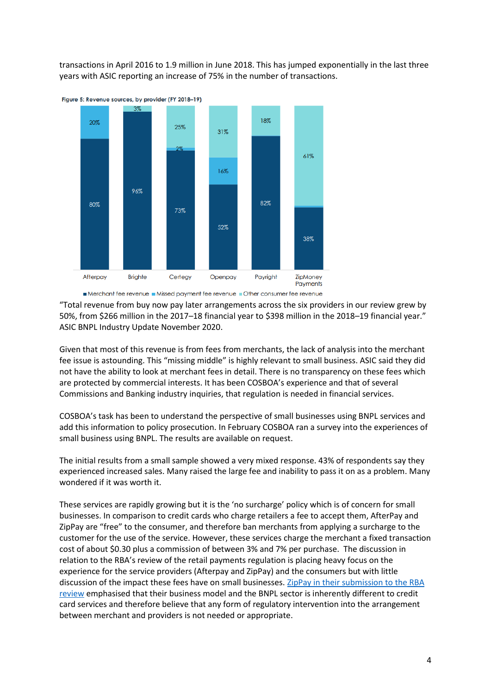transactions in April 2016 to 1.9 million in June 2018. This has jumped exponentially in the last three years with ASIC reporting an increase of 75% in the number of transactions.



Merchant fee revenue Missed payment fee revenue Other consumer fee revenue

"Total revenue from buy now pay later arrangements across the six providers in our review grew by 50%, from \$266 million in the 2017–18 financial year to \$398 million in the 2018–19 financial year." ASIC BNPL Industry Update November 2020.

Given that most of this revenue is from fees from merchants, the lack of analysis into the merchant fee issue is astounding. This "missing middle" is highly relevant to small business. ASIC said they did not have the ability to look at merchant fees in detail. There is no transparency on these fees which are protected by commercial interests. It has been COSBOA's experience and that of several Commissions and Banking industry inquiries, that regulation is needed in financial services.

COSBOA's task has been to understand the perspective of small businesses using BNPL services and add this information to policy prosecution. In February COSBOA ran a survey into the experiences of small business using BNPL. The results are available on request.

The initial results from a small sample showed a very mixed response. 43% of respondents say they experienced increased sales. Many raised the large fee and inability to pass it on as a problem. Many wondered if it was worth it.

These services are rapidly growing but it is the 'no surcharge' policy which is of concern for small businesses. In comparison to credit cards who charge retailers a fee to accept them, AfterPay and ZipPay are "free" to the consumer, and therefore ban merchants from applying a surcharge to the customer for the use of the service. However, these services charge the merchant a fixed transaction cost of about \$0.30 plus a commission of between 3% and 7% per purchase. The discussion in relation to the RBA's review of the retail payments regulation is placing heavy focus on the experience for the service providers (Afterpay and ZipPay) and the consumers but with little discussion of the impact these fees have on small businesses. ZipPay in their submission to the RBA [review](https://cosboa2.sharepoint.com/Shared%20Documents/Forms/AllItems.aspx?id=%2FShared%20Documents%2FPolicy%2FSmall%20Business%20Loans%2FBNPL%2Fzip%2Dco%20submission%20to%20RBA%20on%20BNPL%2Epdf&parent=%2FShared%20Documents%2FPolicy%2FSmall%20Business%20Loans%2FBNPL&p=true&originalPath=aHR0cHM6Ly9jb3Nib2EyLnNoYXJlcG9pbnQuY29tLzpiOi9nL0VaNk5TN2M5VGtWQ29UdnZGNUdRV1R3QmhYTi1ETTFuV0dXT1pWSE5Za3QzeWc_cnRpbWU9WGJPbC1iQ1IyRWc) emphasised that their business model and the BNPL sector is inherently different to credit card services and therefore believe that any form of regulatory intervention into the arrangement between merchant and providers is not needed or appropriate.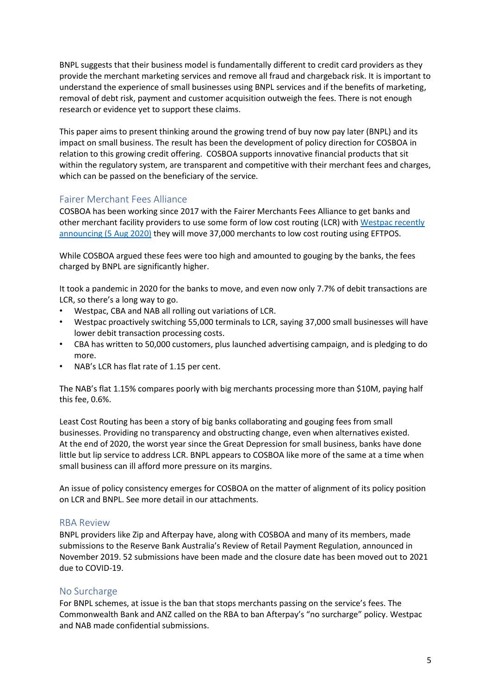BNPL suggests that their business model is fundamentally different to credit card providers as they provide the merchant marketing services and remove all fraud and chargeback risk. It is important to understand the experience of small businesses using BNPL services and if the benefits of marketing, removal of debt risk, payment and customer acquisition outweigh the fees. There is not enough research or evidence yet to support these claims.

This paper aims to present thinking around the growing trend of buy now pay later (BNPL) and its impact on small business. The result has been the development of policy direction for COSBOA in relation to this growing credit offering. COSBOA supports innovative financial products that sit within the regulatory system, are transparent and competitive with their merchant fees and charges, which can be passed on the beneficiary of the service.

#### <span id="page-4-0"></span>Fairer Merchant Fees Alliance

COSBOA has been working since 2017 with the Fairer Merchants Fees Alliance to get banks and other merchant facility providers to use some form of low cost routing (LCR) with [Westpac recently](https://www.afr.com/companies/financial-services/westpac-to-cut-tap-and-go-fees-for-37-000-merchants-20200804-p55i9g)  [announcing \(5](https://www.afr.com/companies/financial-services/westpac-to-cut-tap-and-go-fees-for-37-000-merchants-20200804-p55i9g) Aug 2020) they will move 37,000 merchants to low cost routing using EFTPOS.

While COSBOA argued these fees were too high and amounted to gouging by the banks, the fees charged by BNPL are significantly higher.

It took a pandemic in 2020 for the banks to move, and even now only 7.7% of debit transactions are LCR, so there's a long way to go.

- Westpac, CBA and NAB all rolling out variations of LCR.
- Westpac proactively switching 55,000 terminals to LCR, saying 37,000 small businesses will have lower debit transaction processing costs.
- CBA has written to 50,000 customers, plus launched advertising campaign, and is pledging to do more.
- NAB's LCR has flat rate of 1.15 per cent.

The NAB's flat 1.15% compares poorly with big merchants processing more than \$10M, paying half this fee, 0.6%.

Least Cost Routing has been a story of big banks collaborating and gouging fees from small businesses. Providing no transparency and obstructing change, even when alternatives existed. At the end of 2020, the worst year since the Great Depression for small business, banks have done little but lip service to address LCR. BNPL appears to COSBOA like more of the same at a time when small business can ill afford more pressure on its margins.

An issue of policy consistency emerges for COSBOA on the matter of alignment of its policy position on LCR and BNPL. See more detail in our attachments.

#### <span id="page-4-1"></span>RBA Review

BNPL providers like Zip and Afterpay have, along with COSBOA and many of its members, made submissions to the Reserve Bank Australia's Review of Retail Payment Regulation, announced in November 2019. 52 submissions have been made and the closure date has been moved out to 2021 due to COVID-19.

#### <span id="page-4-2"></span>No Surcharge

For BNPL schemes, at issue is the ban that stops merchants passing on the service's fees. The Commonwealth Bank and ANZ called on the RBA to ban Afterpay's "no surcharge" policy. Westpac and NAB made confidential submissions.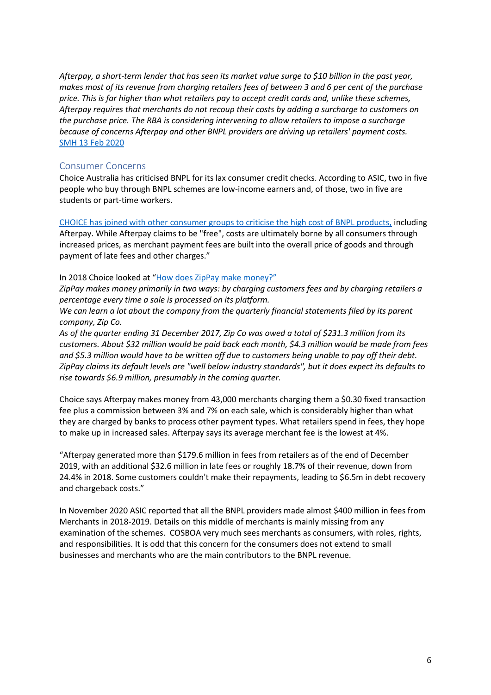*Afterpay, a short-term lender that has seen its market value surge to \$10 billion in the past year, makes most of its revenue from charging retailers fees of between 3 and 6 per cent of the purchase price. This is far higher than what retailers pay to accept credit cards and, unlike these schemes, Afterpay requires that merchants do not recoup their costs by adding a surcharge to customers on the purchase price. The RBA is considering intervening to allow retailers to impose a surcharge because of concerns Afterpay and other BNPL providers are driving up retailers' payment costs.* [SMH 13 Feb 2020](https://cosboa2.sharepoint.com/Shared%20Documents/Policy/Small%20Business%20Loans/BNPL/Afterpay,%20a%20short-term%20lender%20that%20has%20seen%20its%20market%20value%20surge%20to%20$10%20billion%20in%20the%20past%20year,%20makes%20most%20of%20its%20revenue%20from%20charging%20retailers%20fees%20of%20between%203%20and%206%20per%20cent%20of%20the%20purchase%20price.%20This%20is%20far%20higher%20than%20what%20retailers%20pay%20to%20accept%20credit%20cards%20and,%20unlike%20these%20schemes,%20Afterpay%20requires%20that%20merchants%20do%20not%20recoup%20their%20costs%20by%20adding%20a%20surcharge%20to%20customers%20on%20the%20purchase%20price.)

#### <span id="page-5-0"></span>Consumer Concerns

Choice Australia has criticised BNPL for its lax consumer credit checks. According to ASIC, two in five people who buy through BNPL schemes are low-income earners and, of those, two in five are students or part-time workers.

[CHOICE has joined with other consumer groups to criticise the high cost of BNPL products,](https://www.choice.com.au/shopping/online-shopping/buying-online/articles/what-is-afterpay) including Afterpay. While Afterpay claims to be "free", costs are ultimately borne by all consumers through increased prices, as merchant payment fees are built into the overall price of goods and through payment of late fees and other charges."

#### In 2018 Choice looked at "[How does ZipPay make money?](https://www.choice.com.au/shopping/online-shopping/buying-online/articles/what-is-zippay-can-it-be-trusted-010318)"

*ZipPay makes money primarily in two ways: by charging customers fees and by charging retailers a percentage every time a sale is processed on its platform.*

*We can learn a lot about the company from the quarterly financial statements filed by its parent company, Zip Co.*

*As of the quarter ending 31 December 2017, Zip Co was owed a total of \$231.3 million from its customers. About \$32 million would be paid back each month, \$4.3 million would be made from fees and \$5.3 million would have to be written off due to customers being unable to pay off their debt. ZipPay claims its default levels are "well below industry standards", but it does expect its defaults to rise towards \$6.9 million, presumably in the coming quarter.*

Choice says Afterpay makes money from 43,000 merchants charging them a \$0.30 fixed transaction fee plus a commission between 3% and 7% on each sale, which is considerably higher than what they are charged by banks to process other payment types. What retailers spend in fees, they hope to make up in increased sales. Afterpay says its average merchant fee is the lowest at 4%.

"Afterpay generated more than \$179.6 million in fees from retailers as of the end of December 2019, with an additional \$32.6 million in late fees or roughly 18.7% of their revenue, down from 24.4% in 2018. Some customers couldn't make their repayments, leading to \$6.5m in debt recovery and chargeback costs."

In November 2020 ASIC reported that all the BNPL providers made almost \$400 million in fees from Merchants in 2018-2019. Details on this middle of merchants is mainly missing from any examination of the schemes. COSBOA very much sees merchants as consumers, with roles, rights, and responsibilities. It is odd that this concern for the consumers does not extend to small businesses and merchants who are the main contributors to the BNPL revenue.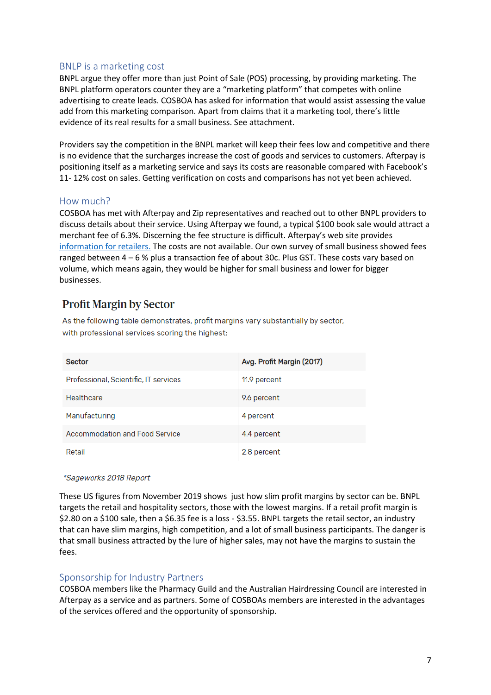#### <span id="page-6-0"></span>BNLP is a marketing cost

BNPL argue they offer more than just Point of Sale (POS) processing, by providing marketing. The BNPL platform operators counter they are a "marketing platform" that competes with online advertising to create leads. COSBOA has asked for information that would assist assessing the value add from this marketing comparison. Apart from claims that it a marketing tool, there's little evidence of its real results for a small business. See attachment.

Providers say the competition in the BNPL market will keep their fees low and competitive and there is no evidence that the surcharges increase the cost of goods and services to customers. Afterpay is positioning itself as a marketing service and says its costs are reasonable compared with Facebook's 11- 12% cost on sales. Getting verification on costs and comparisons has not yet been achieved.

#### <span id="page-6-1"></span>How much?

COSBOA has met with Afterpay and Zip representatives and reached out to other BNPL providers to discuss details about their service. Using Afterpay we found, a typical \$100 book sale would attract a merchant fee of 6.3%. Discerning the fee structure is difficult. Afterpay's web site provides [information for retailers.](https://www.afterpay.com/en-AU/business) The costs are not available. Our own survey of small business showed fees ranged between 4 – 6 % plus a transaction fee of about 30c. Plus GST. These costs vary based on volume, which means again, they would be higher for small business and lower for bigger businesses.

## **Profit Margin by Sector**

As the following table demonstrates, profit margins vary substantially by sector, with professional services scoring the highest:

| <b>Sector</b>                         | Avg. Profit Margin (2017) |
|---------------------------------------|---------------------------|
| Professional, Scientific, IT services | 11.9 percent              |
| Healthcare                            | 9.6 percent               |
| Manufacturing                         | 4 percent                 |
| Accommodation and Food Service        | 4.4 percent               |
| Retail                                | 2.8 percent               |

#### \*Sageworks 2018 Report

These US figures from November 2019 shows just how slim profit margins by sector can be. BNPL targets the retail and hospitality sectors, those with the lowest margins. If a retail profit margin is \$2.80 on a \$100 sale, then a \$6.35 fee is a loss - \$3.55. BNPL targets the retail sector, an industry that can have slim margins, high competition, and a lot of small business participants. The danger is that small business attracted by the lure of higher sales, may not have the margins to sustain the fees.

#### <span id="page-6-2"></span>Sponsorship for Industry Partners

COSBOA members like the Pharmacy Guild and the Australian Hairdressing Council are interested in Afterpay as a service and as partners. Some of COSBOAs members are interested in the advantages of the services offered and the opportunity of sponsorship.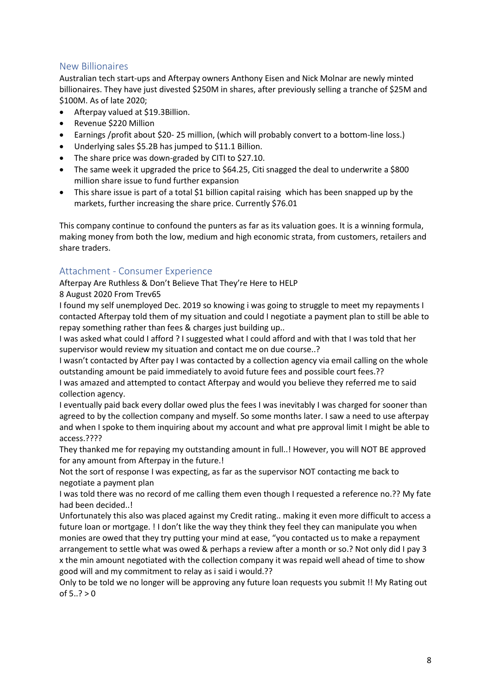## <span id="page-7-0"></span>New Billionaires

Australian tech start-ups and Afterpay owners Anthony Eisen and Nick Molnar are newly minted billionaires. They have just divested \$250M in shares, after previously selling a tranche of \$25M and \$100M. As of late 2020;

- Afterpay valued at \$19.3Billion.
- Revenue \$220 Million
- Earnings /profit about \$20- 25 million, (which will probably convert to a bottom-line loss.)
- Underlying sales \$5.2B has jumped to \$11.1 Billion.
- The share price was down-graded by CITI to \$27.10.
- The same week it upgraded the price to \$64.25, Citi snagged the deal to underwrite a \$800 million share issue to fund further expansion
- This share issue is part of a total \$1 billion capital raising which has been snapped up by the markets, further increasing the share price. Currently \$76.01

This company continue to confound the punters as far as its valuation goes. It is a winning formula, making money from both the low, medium and high economic strata, from customers, retailers and share traders.

#### <span id="page-7-1"></span>Attachment - Consumer Experience

Afterpay Are Ruthless & Don't Believe That They're Here to HELP

#### 8 August 2020 From [Trev65](https://choice-au.ugc.bazaarvoice.com/profiles/2452articlesguest-en_au/2c4ee3fe42ab0e6760e877b5a639dad022d2e481/profile.htm)

I found my self unemployed Dec. 2019 so knowing i was going to struggle to meet my repayments I contacted Afterpay told them of my situation and could I negotiate a payment plan to still be able to repay something rather than fees & charges just building up..

I was asked what could I afford ? I suggested what I could afford and with that I was told that her supervisor would review my situation and contact me on due course..?

I wasn't contacted by After pay I was contacted by a collection agency via email calling on the whole outstanding amount be paid immediately to avoid future fees and possible court fees.??

I was amazed and attempted to contact Afterpay and would you believe they referred me to said collection agency.

I eventually paid back every dollar owed plus the fees I was inevitably I was charged for sooner than agreed to by the collection company and myself. So some months later. I saw a need to use afterpay and when I spoke to them inquiring about my account and what pre approval limit I might be able to access.????

They thanked me for repaying my outstanding amount in full..! However, you will NOT BE approved for any amount from Afterpay in the future.!

Not the sort of response I was expecting, as far as the supervisor NOT contacting me back to negotiate a payment plan

I was told there was no record of me calling them even though I requested a reference no.?? My fate had been decided..!

Unfortunately this also was placed against my Credit rating.. making it even more difficult to access a future loan or mortgage. ! I don't like the way they think they feel they can manipulate you when monies are owed that they try putting your mind at ease, "you contacted us to make a repayment arrangement to settle what was owed & perhaps a review after a month or so.? Not only did I pay 3 x the min amount negotiated with the collection company it was repaid well ahead of time to show good will and my commitment to relay as i said i would.??

Only to be told we no longer will be approving any future loan requests you submit !! My Rating out of  $5..? > 0$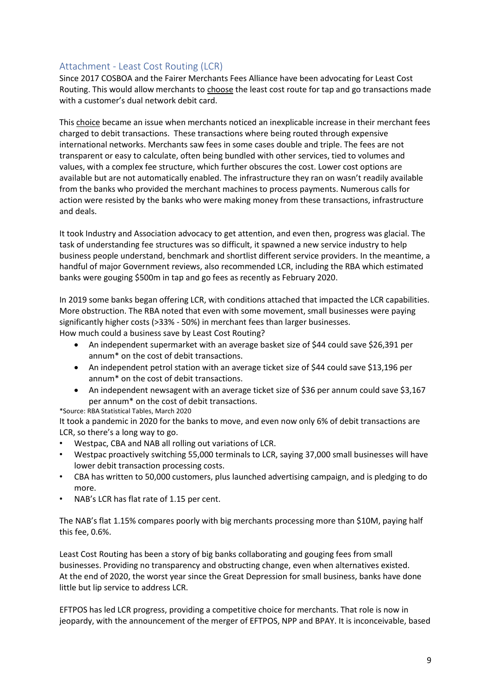## <span id="page-8-0"></span>Attachment - Least Cost Routing (LCR)

Since 2017 COSBOA and the Fairer Merchants Fees Alliance have been advocating for Least Cost Routing. This would allow merchants to choose the least cost route for tap and go transactions made with a customer's dual network debit card.

This choice became an issue when merchants noticed an inexplicable increase in their merchant fees charged to debit transactions. These transactions where being routed through expensive international networks. Merchants saw fees in some cases double and triple. The fees are not transparent or easy to calculate, often being bundled with other services, tied to volumes and values, with a complex fee structure, which further obscures the cost. Lower cost options are available but are not automatically enabled. The infrastructure they ran on wasn't readily available from the banks who provided the merchant machines to process payments. Numerous calls for action were resisted by the banks who were making money from these transactions, infrastructure and deals.

It took Industry and Association advocacy to get attention, and even then, progress was glacial. The task of understanding fee structures was so difficult, it spawned a new service industry to help business people understand, benchmark and shortlist different service providers. In the meantime, a handful of major Government reviews, also recommended LCR, including the RBA which estimated banks were gouging \$500m in tap and go fees as recently as February 2020.

In 2019 some banks began offering LCR, with conditions attached that impacted the LCR capabilities. More obstruction. The RBA noted that even with some movement, small businesses were paying significantly higher costs (>33% - 50%) in merchant fees than larger businesses. How much could a business save by Least Cost Routing?

- An independent supermarket with an average basket size of \$44 could save \$26,391 per annum\* on the cost of debit transactions.
- An independent petrol station with an average ticket size of \$44 could save \$13,196 per annum\* on the cost of debit transactions.
- An independent newsagent with an average ticket size of \$36 per annum could save \$3,167 per annum\* on the cost of debit transactions.

#### \*Source: RBA Statistical Tables, March 2020

It took a pandemic in 2020 for the banks to move, and even now only 6% of debit transactions are LCR, so there's a long way to go.

- Westpac, CBA and NAB all rolling out variations of LCR.
- Westpac proactively switching 55,000 terminals to LCR, saying 37,000 small businesses will have lower debit transaction processing costs.
- CBA has written to 50,000 customers, plus launched advertising campaign, and is pledging to do more.
- NAB's LCR has flat rate of 1.15 per cent.

The NAB's flat 1.15% compares poorly with big merchants processing more than \$10M, paying half this fee, 0.6%.

Least Cost Routing has been a story of big banks collaborating and gouging fees from small businesses. Providing no transparency and obstructing change, even when alternatives existed. At the end of 2020, the worst year since the Great Depression for small business, banks have done little but lip service to address LCR.

EFTPOS has led LCR progress, providing a competitive choice for merchants. That role is now in jeopardy, with the announcement of the merger of EFTPOS, NPP and BPAY. It is inconceivable, based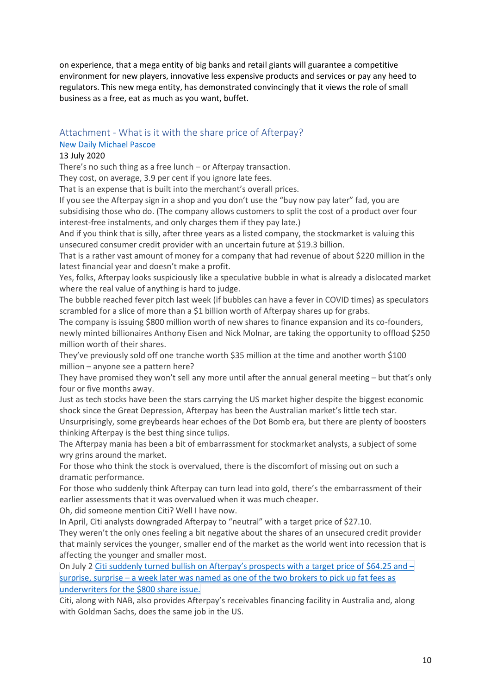on experience, that a mega entity of big banks and retail giants will guarantee a competitive environment for new players, innovative less expensive products and services or pay any heed to regulators. This new mega entity, has demonstrated convincingly that it views the role of small business as a free, eat as much as you want, buffet.

#### <span id="page-9-0"></span>Attachment - What is it with the share price of Afterpay?

#### [New Daily Michael Pascoe](https://thenewdaily.com.au/finance/finance-news/2020/07/13/afterpay-share-price-bubble-pascoe/)

#### 13 July 2020

There's no such thing as a free lunch – or Afterpay transaction.

They cost, on average, 3.9 per cent if you ignore late fees.

That is an expense that is built into the merchant's overall prices.

If you see the Afterpay sign in a shop and you don't use the "buy now pay later" fad, you are subsidising those who do. (The company allows customers to split the cost of a product over four interest-free instalments, and only charges them if they pay late.)

And if you think that is silly, after three years as a listed company, the stockmarket is valuing this unsecured consumer credit provider with an uncertain future at \$19.3 billion.

That is a rather vast amount of money for a company that had revenue of about \$220 million in the latest financial year and doesn't make a profit.

Yes, folks, Afterpay looks suspiciously like a speculative bubble in what is already a dislocated market where the real value of anything is hard to judge.

The bubble reached fever pitch last week (if bubbles can have a fever in COVID times) as speculators scrambled for a slice of more than a \$1 billion worth of Afterpay shares up for grabs.

The company is issuing \$800 million worth of new shares to finance expansion and its co-founders, newly minted billionaires Anthony Eisen and Nick Molnar, are taking the opportunity to offload \$250 million worth of their shares.

They've previously sold off one tranche worth \$35 million at the time and another worth \$100 million – anyone see a pattern here?

They have promised they won't sell any more until after the annual general meeting – but that's only four or five months away.

Just as tech stocks have been the stars carrying the US market higher despite the biggest economic shock since the Great Depression, Afterpay has been the Australian market's little tech star. Unsurprisingly, some greybeards hear echoes of the Dot Bomb era, but there are plenty of boosters thinking Afterpay is the best thing since tulips.

The Afterpay mania has been a bit of embarrassment for stockmarket analysts, a subject of some wry grins around the market.

For those who think the stock is overvalued, there is the discomfort of missing out on such a dramatic performance.

For those who suddenly think Afterpay can turn lead into gold, there's the embarrassment of their earlier assessments that it was overvalued when it was much cheaper.

Oh, did someone mention Citi? Well I have now.

In April, Citi analysts downgraded Afterpay to "neutral" with a target price of \$27.10.

They weren't the only ones feeling a bit negative about the shares of an unsecured credit provider that mainly services the younger, smaller end of the market as the world went into recession that is affecting the younger and smaller most.

On July 2 Citi suddenly turned bullish on [Afterpay's](https://www.smh.com.au/business/companies/it-s-been-brutal-for-australian-funds-managers-who-eschewed-afterpay-20200708-p55a82.html) prospects with a target price of \$64.25 and [surprise,](https://www.smh.com.au/business/companies/it-s-been-brutal-for-australian-funds-managers-who-eschewed-afterpay-20200708-p55a82.html) surprise – a week later was named as one of the two brokers to pick up fat fees as [underwriters](https://www.smh.com.au/business/companies/it-s-been-brutal-for-australian-funds-managers-who-eschewed-afterpay-20200708-p55a82.html) for the \$800 share issue.

Citi, along with NAB, also provides Afterpay's receivables financing facility in Australia and, along with Goldman Sachs, does the same job in the US.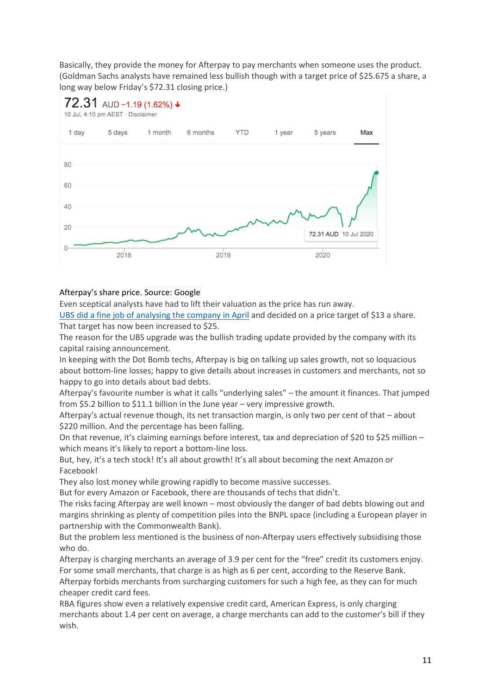Basically, they provide the money for Afterpay to pay merchants when someone uses the product. (Goldman Sachs analysts have remained less bullish though with a target price of \$25.675 a share, a long way below Friday's \$72.31 closing price.)



## 72.31 AUD -1.19 (1.62%) ↓

10 Jul, 4:10 pm AEST · Disclaimer

## Afterpay's share price. Source: Google

Even sceptical analysts have had to lift their valuation as the price has run away.

UBS did a fine job of [analysing](https://www.ig.com/au/news-and-trade-ideas/why-ubs-just-downgraded-afterpay-to-sell-200416) the company in April and decided on a price target of \$13 a share. That target has now been increased to \$25.

The reason for the UBS upgrade was the bullish trading update provided by the company with its capital raising announcement.

In keeping with the Dot Bomb techs, Afterpay is big on talking up sales growth, not so loquacious about bottom-line losses; happy to give details about increases in customers and merchants, not so happy to go into details about bad debts.

Afterpay's favourite number is what it calls "underlying sales" – the amount it finances. That jumped from \$5.2 billion to \$11.1 billion in the June year – very impressive growth.

Afterpay's actual revenue though, its net transaction margin, is only two per cent of that – about \$220 million. And the percentage has been falling.

On that revenue, it's claiming earnings before interest, tax and depreciation of \$20 to \$25 million – which means it's likely to report a bottom-line loss.

But, hey, it's a tech stock! It's all about growth! It's all about becoming the next Amazon or Facebook!

They also lost money while growing rapidly to become massive successes.

But for every Amazon or Facebook, there are thousands of techs that didn't.

The risks facing Afterpay are well known – most obviously the danger of bad debts blowing out and margins shrinking as plenty of competition piles into the BNPL space (including a European player in partnership with the Commonwealth Bank).

But the problem less mentioned is the business of non-Afterpay users effectively subsidising those who do.

Afterpay is charging merchants an average of 3.9 per cent for the "free" credit its customers enjoy. For some small merchants, that charge is as high as 6 per cent, according to the Reserve Bank. Afterpay forbids merchants from surcharging customers for such a high fee, as they can for much cheaper credit card fees.

RBA figures show even a relatively expensive credit card, American Express, is only charging merchants about 1.4 per cent on average, a charge merchants can add to the customer's bill if they wish.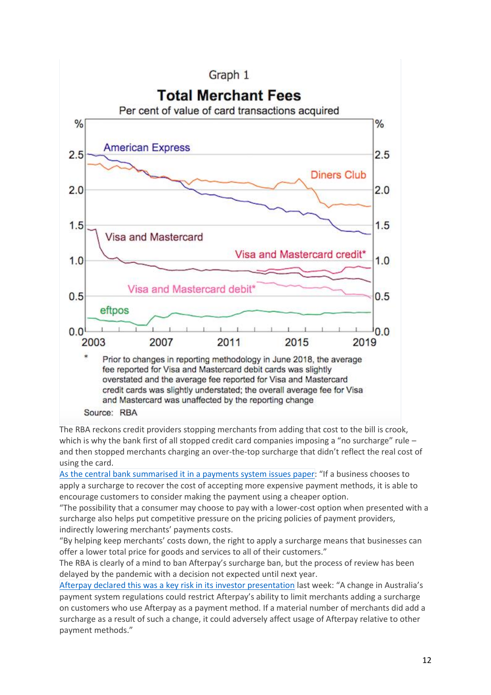

The RBA reckons credit providers stopping merchants from adding that cost to the bill is crook, which is why the bank first of all stopped credit card companies imposing a "no surcharge" rule – and then stopped merchants charging an over-the-top surcharge that didn't reflect the real cost of using the card.

As the central bank [summarised](https://www.rba.gov.au/payments-and-infrastructure/review-of-retail-payments-regulation/pdf/review-of-retail-payments-regulation-issues-paper-nov-2019.pdf) it in a payments system issues paper: "If a business chooses to apply a surcharge to recover the cost of accepting more expensive payment methods, it is able to encourage customers to consider making the payment using a cheaper option.

"The possibility that a consumer may choose to pay with a lower-cost option when presented with a surcharge also helps put competitive pressure on the pricing policies of payment providers, indirectly lowering merchants' payments costs.

"By helping keep merchants' costs down, the right to apply a surcharge means that businesses can offer a lower total price for goods and services to all of their customers."

The RBA is clearly of a mind to ban Afterpay's surcharge ban, but the process of review has been delayed by the pandemic with a decision not expected until next year.

Afterpay declared this was a key risk in its investor [presentation](https://www.asx.com.au/asxpdf/20200707/pdf/44k9g7mm86dzdk.pdf) last week: "A change in Australia's payment system regulations could restrict Afterpay's ability to limit merchants adding a surcharge on customers who use Afterpay as a payment method. If a material number of merchants did add a surcharge as a result of such a change, it could adversely affect usage of Afterpay relative to other payment methods."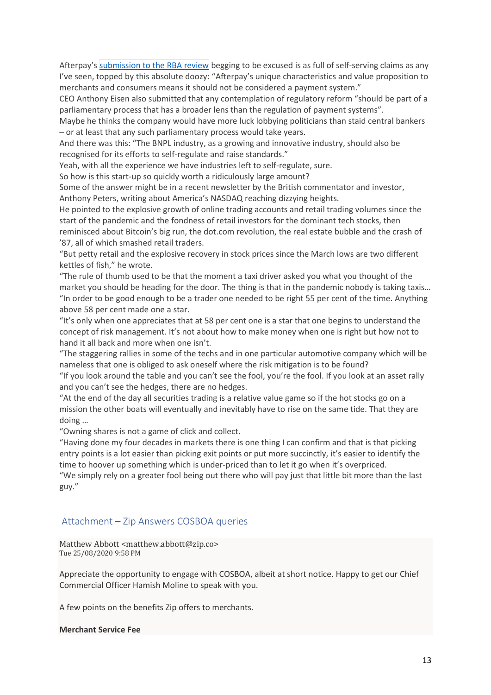Afterpay's [submission](https://www.afterpaytouch.com/images/06022020-Afterpay-Submission-to-RBA-Issues-Paper-on-Retail-Payments-Regulation.pdf) to the RBA review begging to be excused is as full of self-serving claims as any I've seen, topped by this absolute doozy: "Afterpay's unique characteristics and value proposition to merchants and consumers means it should not be considered a payment system."

CEO Anthony Eisen also submitted that any contemplation of regulatory reform "should be part of a parliamentary process that has a broader lens than the regulation of payment systems".

Maybe he thinks the company would have more luck lobbying politicians than staid central bankers – or at least that any such parliamentary process would take years.

And there was this: "The BNPL industry, as a growing and innovative industry, should also be recognised for its efforts to self-regulate and raise standards."

Yeah, with all the experience we have industries left to self-regulate, sure.

So how is this start-up so quickly worth a ridiculously large amount?

Some of the answer might be in a recent newsletter by the British commentator and investor, Anthony Peters, writing about America's NASDAQ reaching dizzying heights.

He pointed to the explosive growth of online trading accounts and retail trading volumes since the start of the pandemic and the fondness of retail investors for the dominant tech stocks, then reminisced about Bitcoin's big run, the dot.com revolution, the real estate bubble and the crash of '87, all of which smashed retail traders.

"But petty retail and the explosive recovery in stock prices since the March lows are two different kettles of fish," he wrote.

"The rule of thumb used to be that the moment a taxi driver asked you what you thought of the market you should be heading for the door. The thing is that in the pandemic nobody is taking taxis… "In order to be good enough to be a trader one needed to be right 55 per cent of the time. Anything above 58 per cent made one a star.

"It's only when one appreciates that at 58 per cent one is a star that one begins to understand the concept of risk management. It's not about how to make money when one is right but how not to hand it all back and more when one isn't.

"The staggering rallies in some of the techs and in one particular automotive company which will be nameless that one is obliged to ask oneself where the risk mitigation is to be found?

"If you look around the table and you can't see the fool, you're the fool. If you look at an asset rally and you can't see the hedges, there are no hedges.

"At the end of the day all securities trading is a relative value game so if the hot stocks go on a mission the other boats will eventually and inevitably have to rise on the same tide. That they are doing …

"Owning shares is not a game of click and collect.

"Having done my four decades in markets there is one thing I can confirm and that is that picking entry points is a lot easier than picking exit points or put more succinctly, it's easier to identify the time to hoover up something which is under-priced than to let it go when it's overpriced.

"We simply rely on a greater fool being out there who will pay just that little bit more than the last guy."

#### <span id="page-12-0"></span>Attachment – Zip Answers COSBOA queries

Matthew Abbott <matthew.abbott@zip.co> Tue 25/08/2020 9:58 PM

Appreciate the opportunity to engage with COSBOA, albeit at short notice. Happy to get our Chief Commercial Officer Hamish Moline to speak with you.

A few points on the benefits Zip offers to merchants.

#### **Merchant Service Fee**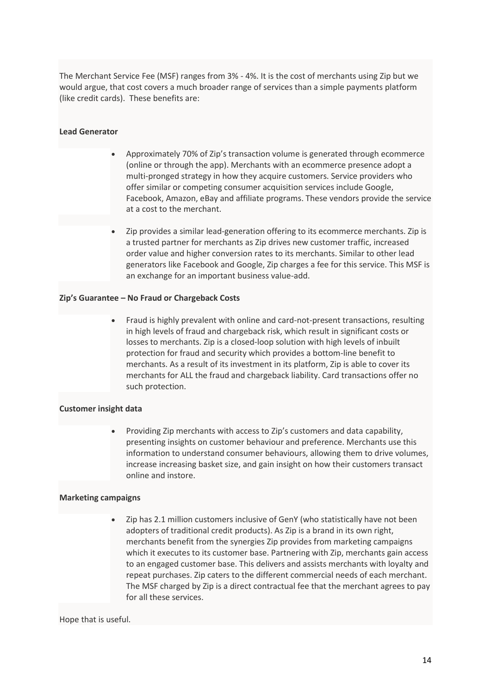The Merchant Service Fee (MSF) ranges from 3% - 4%. It is the cost of merchants using Zip but we would argue, that cost covers a much broader range of services than a simple payments platform (like credit cards). These benefits are:

#### **Lead Generator**

- Approximately 70% of Zip's transaction volume is generated through ecommerce (online or through the app). Merchants with an ecommerce presence adopt a multi-pronged strategy in how they acquire customers. Service providers who offer similar or competing consumer acquisition services include Google, Facebook, Amazon, eBay and affiliate programs. These vendors provide the service at a cost to the merchant.
- Zip provides a similar lead-generation offering to its ecommerce merchants. Zip is a trusted partner for merchants as Zip drives new customer traffic, increased order value and higher conversion rates to its merchants. Similar to other lead generators like Facebook and Google, Zip charges a fee for this service. This MSF is an exchange for an important business value-add.

#### **Zip's Guarantee – No Fraud or Chargeback Costs**

• Fraud is highly prevalent with online and card-not-present transactions, resulting in high levels of fraud and chargeback risk, which result in significant costs or losses to merchants. Zip is a closed-loop solution with high levels of inbuilt protection for fraud and security which provides a bottom-line benefit to merchants. As a result of its investment in its platform, Zip is able to cover its merchants for ALL the fraud and chargeback liability. Card transactions offer no such protection.

#### **Customer insight data**

• Providing Zip merchants with access to Zip's customers and data capability, presenting insights on customer behaviour and preference. Merchants use this information to understand consumer behaviours, allowing them to drive volumes, increase increasing basket size, and gain insight on how their customers transact online and instore.

#### **Marketing campaigns**

• Zip has 2.1 million customers inclusive of GenY (who statistically have not been adopters of traditional credit products). As Zip is a brand in its own right, merchants benefit from the synergies Zip provides from marketing campaigns which it executes to its customer base. Partnering with Zip, merchants gain access to an engaged customer base. This delivers and assists merchants with loyalty and repeat purchases. Zip caters to the different commercial needs of each merchant. The MSF charged by Zip is a direct contractual fee that the merchant agrees to pay for all these services.

#### Hope that is useful.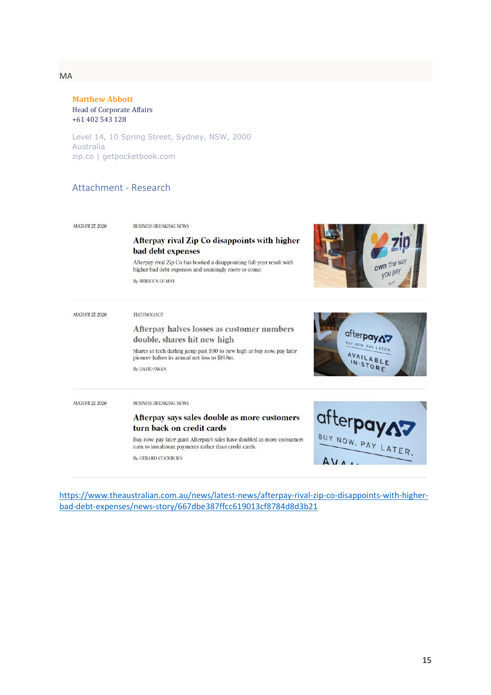MA

**Matthew Abbott** Head of Corporate Affairs +61 402 543 128

Level 14, 10 Spring Street, Sydney, NSW, 2000 Australia zip.co | getpocketbook.com

## <span id="page-14-0"></span>Attachment - Research

**AUGUST 27, 2020** 

BUSINESS BREAKING NEWS

#### Afterpay rival Zip Co disappoints with higher bad debt expenses

Afterpay rival Zip Co has booked a disappointing full-year result with higher bad debt expenses and seemingly more to come.

By REBECCA LE MAY



| <b>AUGUST 27, 2020</b> | <b>TECHNOLOGY</b><br>Afterpay halves losses as customer numbers<br>double, shares hit new high<br>Shares in tech darling jump past \$90 to new high as buy now, pay later<br>pioneer halves its annual net loss to \$19.8m.<br><b>By DAVID SWAN</b>                          | afterpay<br>BUY NOW. PAY LATER.<br>AVAILABLE |
|------------------------|------------------------------------------------------------------------------------------------------------------------------------------------------------------------------------------------------------------------------------------------------------------------------|----------------------------------------------|
| <b>AUGUST 27, 2020</b> | <b>BUSINESS BREAKING NEWS</b><br>Afterpay says sales double as more customers<br>turn back on credit cards<br>Buy now, pay later giant Afterpay's sales have doubled as more consumers<br>turn to instalment payments rather than credit cards.<br><b>By GERARD COCKBURN</b> | BUY NOW. PAY LATER.                          |

[https://www.theaustralian.com.au/news/latest-news/afterpay-rival-zip-co-disappoints-with-higher](https://www.theaustralian.com.au/news/latest-news/afterpay-rival-zip-co-disappoints-with-higher-bad-debt-expenses/news-story/667dbe387ffcc619013cf8784d8d3b21)[bad-debt-expenses/news-story/667dbe387ffcc619013cf8784d8d3b21](https://www.theaustralian.com.au/news/latest-news/afterpay-rival-zip-co-disappoints-with-higher-bad-debt-expenses/news-story/667dbe387ffcc619013cf8784d8d3b21)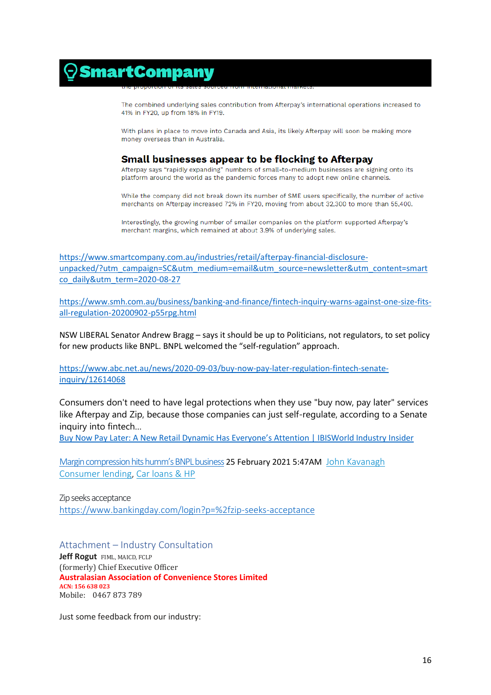## $\odot$ SmartCompany

The combined underlying sales contribution from Afterpay's international operations increased to 41% in FY20, up from 18% in FY19.

With plans in place to move into Canada and Asia, its likely Afterpay will soon be making more money overseas than in Australia.

#### Small businesses appear to be flocking to Afterpay

Afterpay says "rapidly expanding" numbers of small-to-medium businesses are signing onto its platform around the world as the pandemic forces many to adopt new online channels.

While the company did not break down its number of SME users specifically, the number of active merchants on Afterpay increased 72% in FY20, moving from about 32,300 to more than 55,400.

Interestingly, the growing number of smaller companies on the platform supported Afterpay's merchant margins, which remained at about 3.9% of underlying sales.

[https://www.smartcompany.com.au/industries/retail/afterpay-financial-disclosure](https://www.smartcompany.com.au/industries/retail/afterpay-financial-disclosure-unpacked/?utm_campaign=SC&utm_medium=email&utm_source=newsletter&utm_content=smartco_daily&utm_term=2020-08-27)[unpacked/?utm\\_campaign=SC&utm\\_medium=email&utm\\_source=newsletter&utm\\_content=smart](https://www.smartcompany.com.au/industries/retail/afterpay-financial-disclosure-unpacked/?utm_campaign=SC&utm_medium=email&utm_source=newsletter&utm_content=smartco_daily&utm_term=2020-08-27) [co\\_daily&utm\\_term=2020-08-27](https://www.smartcompany.com.au/industries/retail/afterpay-financial-disclosure-unpacked/?utm_campaign=SC&utm_medium=email&utm_source=newsletter&utm_content=smartco_daily&utm_term=2020-08-27)

[https://www.smh.com.au/business/banking-and-finance/fintech-inquiry-warns-against-one-size-fits](https://www.smh.com.au/business/banking-and-finance/fintech-inquiry-warns-against-one-size-fits-all-regulation-20200902-p55rpg.html)[all-regulation-20200902-p55rpg.html](https://www.smh.com.au/business/banking-and-finance/fintech-inquiry-warns-against-one-size-fits-all-regulation-20200902-p55rpg.html)

NSW LIBERAL Senator Andrew Bragg – says it should be up to Politicians, not regulators, to set policy for new products like BNPL. BNPL welcomed the "self-regulation" approach.

[https://www.abc.net.au/news/2020-09-03/buy-now-pay-later-regulation-fintech-senate](https://www.abc.net.au/news/2020-09-03/buy-now-pay-later-regulation-fintech-senate-inquiry/12614068)[inquiry/12614068](https://www.abc.net.au/news/2020-09-03/buy-now-pay-later-regulation-fintech-senate-inquiry/12614068)

Consumers don't need to have legal protections when they use "buy now, pay later" services like Afterpay and Zip, because those companies can just self-regulate, according to a Senate inquiry into fintech…

[Buy Now Pay Later: A New Retail Dynamic Has Everyone's Attention | IBISWorld Industry Insider](https://www.ibisworld.com/industry-insider/press-releases/buy-now-pay-later-a-new-retail-dynamic-has-everyone-s-attention/)

[Margin compression hits humm's BNPL business](https://www.bankingday.com/margin-compression-hits-humms-bnpl-business) 25 February 2021 5:47AM [John Kavanagh](https://www.bankingday.com/author/863) [Consumer lending,](https://www.bankingday.com/topic/consumer-lending) [Car loans & HP](https://www.bankingday.com/topic/car-loans-hp)

Zip seeks acceptance <https://www.bankingday.com/login?p=%2fzip-seeks-acceptance>

<span id="page-15-0"></span>Attachment – Industry Consultation

**Jeff Rogut** FIML, MAICD, FCLP (formerly) Chief Executive Officer **Australasian Association of Convenience Stores Limited ACN: 156 638 023** Mobile: 0467 873 789

Just some feedback from our industry: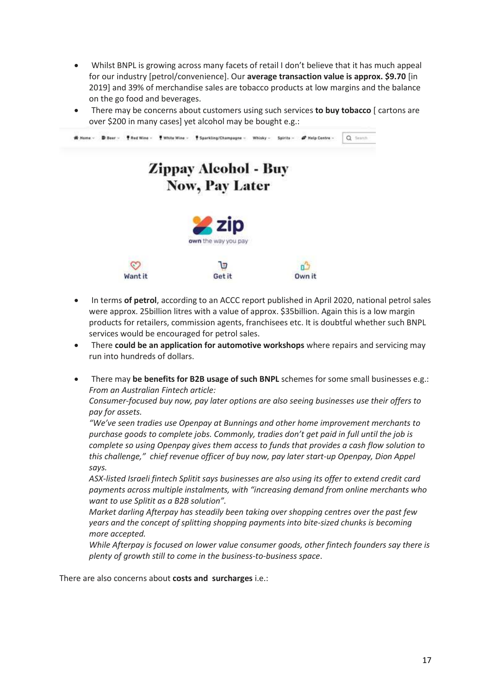- Whilst BNPL is growing across many facets of retail I don't believe that it has much appeal for our industry [petrol/convenience]. Our **average transaction value is approx. \$9.70** [in 2019] and 39% of merchandise sales are tobacco products at low margins and the balance on the go food and beverages.
- There may be concerns about customers using such services **to buy tobacco** [ cartons are over \$200 in many cases] yet alcohol may be bought e.g.:



- In terms **of petrol**, according to an ACCC report published in April 2020, national petrol sales were approx. 25billion litres with a value of approx. \$35billion. Again this is a low margin products for retailers, commission agents, franchisees etc. It is doubtful whether such BNPL services would be encouraged for petrol sales.
- There **could be an application for automotive workshops** where repairs and servicing may run into hundreds of dollars.
- There may **be benefits for B2B usage of such BNPL** schemes for some small businesses e.g.: *From an Australian Fintech article:*

*Consumer-focused buy now, pay later options are also seeing businesses use their offers to pay for assets.*

*"We've seen tradies use Openpay at Bunnings and other home improvement merchants to purchase goods to complete jobs. Commonly, tradies don't get paid in full until the job is complete so using Openpay gives them access to funds that provides a cash flow solution to this challenge," chief revenue officer of buy now, pay later start-up Openpay, Dion Appel says.*

*ASX-listed Israeli fintech Splitit says businesses are also using its offer to extend credit card payments across multiple instalments, with "increasing demand from online merchants who want to use Splitit as a B2B solution".*

*Market darling Afterpay has steadily been taking over shopping centres over the past few years and the concept of splitting shopping payments into bite-sized chunks is becoming more accepted.*

*While Afterpay is focused on lower value consumer goods, other fintech founders say there is plenty of growth still to come in the business-to-business space*.

There are also concerns about **costs and surcharges** i.e.: